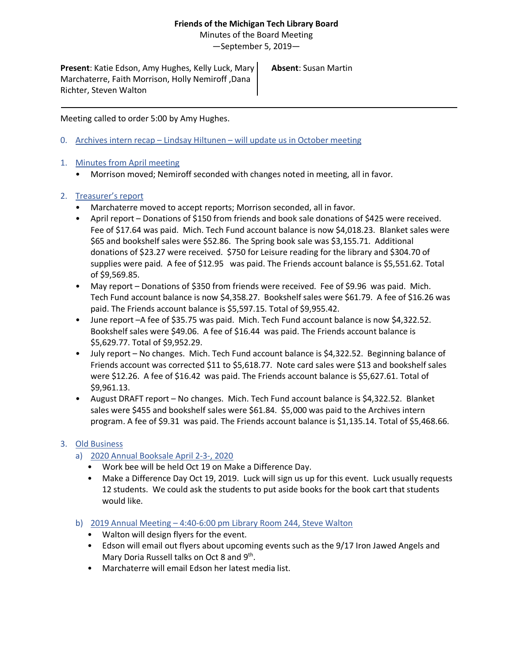## **Friends of the Michigan Tech Library Board**

Minutes of the Board Meeting

—September 5, 2019—

**Present**: Katie Edson, Amy Hughes, Kelly Luck, Mary Marchaterre, Faith Morrison, Holly Nemiroff ,Dana Richter, Steven Walton

**Absent**: Susan Martin

Meeting called to order 5:00 by Amy Hughes.

0. Archives intern recap – Lindsay Hiltunen – will update us in October meeting

## 1. Minutes from April meeting

• Morrison moved; Nemiroff seconded with changes noted in meeting, all in favor.

## 2. Treasurer's report

- Marchaterre moved to accept reports; Morrison seconded, all in favor.
- April report Donations of \$150 from friends and book sale donations of \$425 were received. Fee of \$17.64 was paid. Mich. Tech Fund account balance is now \$4,018.23. Blanket sales were \$65 and bookshelf sales were \$52.86. The Spring book sale was \$3,155.71. Additional donations of \$23.27 were received. \$750 for Leisure reading for the library and \$304.70 of supplies were paid. A fee of \$12.95 was paid. The Friends account balance is \$5,551.62. Total of \$9,569.85.
- May report Donations of \$350 from friends were received. Fee of \$9.96 was paid. Mich. Tech Fund account balance is now \$4,358.27. Bookshelf sales were \$61.79. A fee of \$16.26 was paid. The Friends account balance is \$5,597.15. Total of \$9,955.42.
- June report –A fee of \$35.75 was paid. Mich. Tech Fund account balance is now \$4,322.52. Bookshelf sales were \$49.06. A fee of \$16.44 was paid. The Friends account balance is \$5,629.77. Total of \$9,952.29.
- July report No changes. Mich. Tech Fund account balance is \$4,322.52. Beginning balance of Friends account was corrected \$11 to \$5,618.77. Note card sales were \$13 and bookshelf sales were \$12.26. A fee of \$16.42 was paid. The Friends account balance is \$5,627.61. Total of \$9,961.13.
- August DRAFT report No changes. Mich. Tech Fund account balance is \$4,322.52. Blanket sales were \$455 and bookshelf sales were \$61.84. \$5,000 was paid to the Archives intern program. A fee of \$9.31 was paid. The Friends account balance is \$1,135.14. Total of \$5,468.66.

# 3. Old Business

- a) 2020 Annual Booksale April 2-3-, 2020
	- Work bee will be held Oct 19 on Make a Difference Day.
	- Make a Difference Day Oct 19, 2019. Luck will sign us up for this event. Luck usually requests 12 students. We could ask the students to put aside books for the book cart that students would like.
- b) 2019 Annual Meeting 4:40-6:00 pm Library Room 244, Steve Walton
	- Walton will design flyers for the event.
	- Edson will email out flyers about upcoming events such as the 9/17 Iron Jawed Angels and Mary Doria Russell talks on Oct 8 and 9<sup>th</sup>.
	- Marchaterre will email Edson her latest media list.